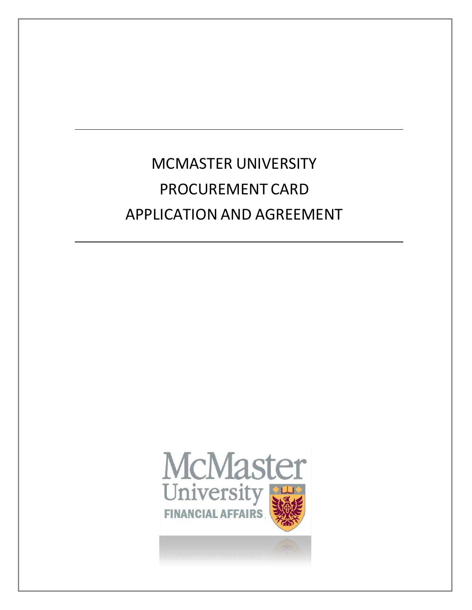MCMASTER UNIVERSITY PROCUREMENT CARD APPLICATION AND AGREEMENT

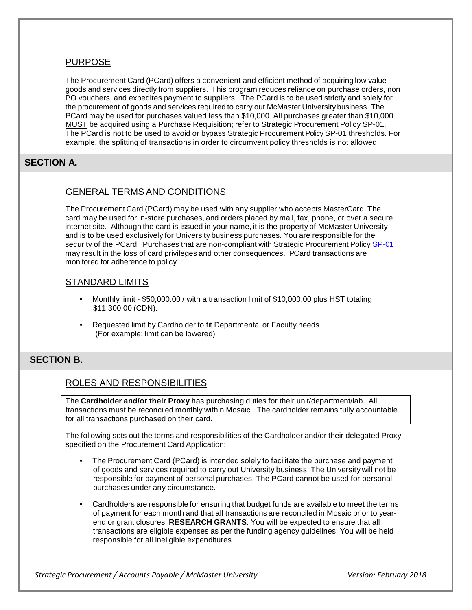### PURPOSE

The Procurement Card (PCard) offers a convenient and efficient method of acquiring low value goods and services directly from suppliers. This program reduces reliance on purchase orders, non PO vouchers, and expedites payment to suppliers. The PCard is to be used strictly and solely for the procurement of goods and services required to carry out McMaster University business. The PCard may be used for purchases valued less than \$10,000. All purchases greater than \$10,000 MUST be acquired using a Purchase Requisition; refer to Strategic Procurement Policy SP-01. The PCard is not to be used to avoid or bypass Strategic Procurement Policy SP-01 thresholds. For example, the splitting of transactions in order to circumvent policy thresholds is not allowed.

## **SECTION A.**

### GENERAL TERMS AND CONDITIONS

The Procurement Card (PCard) may be used with any supplier who accepts MasterCard. The card may be used for in-store purchases, and orders placed by mail, fax, phone, or over a secure internet site. Although the card is issued in your name, it is the property of McMaster University and is to be used exclusively for University business purchases. You are responsible for the security of the PCard. Purchases that are non-compliant with Strategic Procurement Policy [SP-01](http://www.mcmaster.ca/bms/policy/purchase/SP-01.pdf) may result in the loss of card privileges and other consequences. PCard transactions are monitored for adherence to policy.

#### STANDARD LIMITS

- Monthly limit \$50,000.00 / with a transaction limit of \$10,000.00 plus HST totaling \$11,300.00 (CDN).
- Requested limit by Cardholder to fit Departmental or Faculty needs. (For example: limit can be lowered)

#### **SECTION B.**

### ROLES AND RESPONSIBILITIES

The **Cardholder and/or their Proxy** has purchasing duties for their unit/department/lab. All transactions must be reconciled monthly within Mosaic. The cardholder remains fully accountable for all transactions purchased on their card.

The following sets out the terms and responsibilities of the Cardholder and/or their delegated Proxy specified on the Procurement Card Application:

- The Procurement Card (PCard) is intended solely to facilitate the purchase and payment of goods and services required to carry out University business. The University will not be responsible for payment of personal purchases. The PCard cannot be used for personal purchases under any circumstance.
- Cardholders are responsible for ensuring that budget funds are available to meet the terms of payment for each month and that all transactions are reconciled in Mosaic prior to yearend or grant closures. **RESEARCH GRANTS**: You will be expected to ensure that all transactions are eligible expenses as per the funding agency guidelines. You will be held responsible for all ineligible expenditures.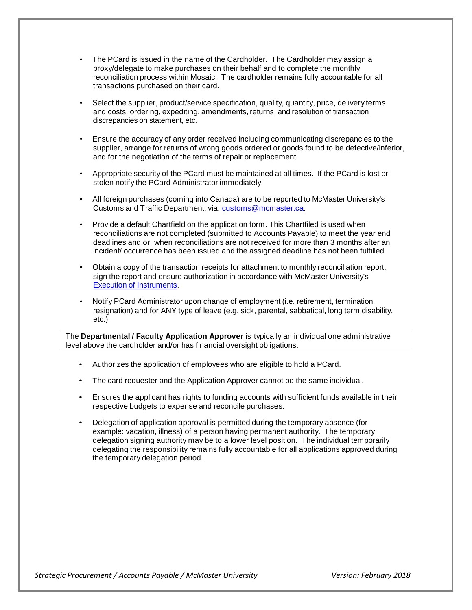- The PCard is issued in the name of the Cardholder. The Cardholder may assign a proxy/delegate to make purchases on their behalf and to complete the monthly reconciliation process within Mosaic. The cardholder remains fully accountable for all transactions purchased on their card.
- Select the supplier, product/service specification, quality, quantity, price, delivery terms and costs, ordering, expediting, amendments, returns, and resolution of transaction discrepancies on statement, etc.
- Ensure the accuracy of any order received including communicating discrepancies to the supplier, arrange for returns of wrong goods ordered or goods found to be defective/inferior, and for the negotiation of the terms of repair or replacement.
- Appropriate security of the PCard must be maintained at all times. If the PCard is lost or stolen notify the PCard Administrator immediately.
- All foreign purchases (coming into Canada) are to be reported to McMaster University's Customs and Traffic Department, via: [customs@mcmaster.ca.](mailto:customs@mcmaster.ca)
- Provide a default Chartfield on the application form. This Chartfiled is used when reconciliations are not completed (submitted to Accounts Payable) to meet the year end deadlines and or, when reconciliations are not received for more than 3 months after an incident/ occurrence has been issued and the assigned deadline has not been fulfilled.
- Obtain a copy of the transaction receipts for attachment to monthly reconciliation report, sign the report and ensure authorization in accordance with McMaster University's Execution of [Instruments.](http://www.mcmaster.ca/policy/General/Financial/Execution-Instruments.pdf)
- Notify PCard Administrator upon change of employment (i.e. retirement, termination, resignation) and for ANY type of leave (e.g. sick, parental, sabbatical, long term disability, etc.)

The **Departmental / Faculty Application Approver** is typically an individual one administrative level above the cardholder and/or has financial oversight obligations.

- Authorizes the application of employees who are eligible to hold a PCard.
- The card requester and the Application Approver cannot be the same individual.
- Ensures the applicant has rights to funding accounts with sufficient funds available in their respective budgets to expense and reconcile purchases.
- Delegation of application approval is permitted during the temporary absence (for example: vacation, illness) of a person having permanent authority. The temporary delegation signing authority may be to a lower level position. The individual temporarily delegating the responsibility remains fully accountable for all applications approved during the temporary delegation period.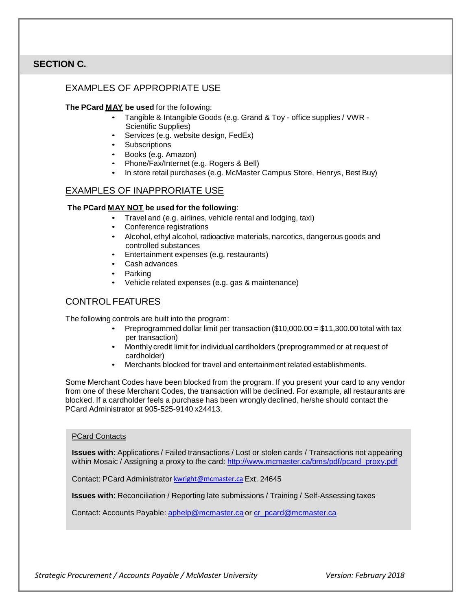## **SECTION C.**

## EXAMPLES OF APPROPRIATE USE

#### **The PCard MAY be used** for the following:

- Tangible & Intangible Goods (e.g. Grand & Toy office supplies / VWR Scientific Supplies)
- Services (e.g. website design, FedEx)
- Subscriptions
- Books (e.g. Amazon)
- Phone/Fax/Internet (e.g. Rogers & Bell)
- In store retail purchases (e.g. McMaster Campus Store, Henrys, Best Buy)

### EXAMPLES OF INAPPRORIATE USE

#### **The PCard MAY NOT be used for the following**:

- Travel and (e.g. airlines, vehicle rental and lodging, taxi)
- Conference registrations
- Alcohol, ethyl alcohol, radioactive materials, narcotics, dangerous goods and controlled substances
- Entertainment expenses (e.g. restaurants)
- Cash advances
- Parking
- Vehicle related expenses (e.g. gas & maintenance)

## CONTROL FEATURES

The following controls are built into the program:

- Preprogrammed dollar limit per transaction  $(\$10,000.00 = \$11,300.00$  total with tax per transaction)
- Monthly credit limit for individual cardholders (preprogrammed or at request of cardholder)
- Merchants blocked for travel and entertainment related establishments.

Some Merchant Codes have been blocked from the program. If you present your card to any vendor from one of these Merchant Codes, the transaction will be declined. For example, all restaurants are blocked. If a cardholder feels a purchase has been wrongly declined, he/she should contact the PCard Administrator at 905-525-9140 x24413.

#### PCard Contacts

**Issues with**: Applications / Failed transactions / Lost or stolen cards / Transactions not appearing within Mosaic / Assigning a proxy to the card: [http://www.mcmaster.ca/bms/pdf/pcard\\_proxy.pdf](http://www.mcmaster.ca/bms/pdf/pcard_proxy.pdf)

Contact: PCard Administrator [kwright@mcmaster.ca](mailto:kwright@mcmaster.ca) Ext. 24645

**Issues with**: Reconciliation / Reporting late submissions / Training / Self-Assessing taxes

Contact: Accounts Payable: [aphelp@mcmaster.ca](mailto:aphelp@mcmaster.ca) or [cr\\_pcard@mcmaster.ca](mailto:cr_pcard@mcmaster.ca)